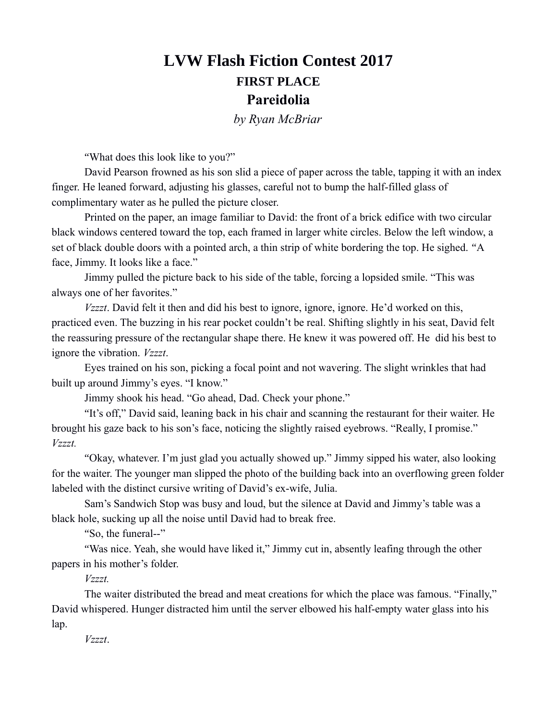## **LVW Flash Fiction Contest 2017 FIRST PLACE Pareidolia**

*by Ryan McBriar*

"What does this look like to you?"

David Pearson frowned as his son slid a piece of paper across the table, tapping it with an index finger. He leaned forward, adjusting his glasses, careful not to bump the half-filled glass of complimentary water as he pulled the picture closer.

Printed on the paper, an image familiar to David: the front of a brick edifice with two circular black windows centered toward the top, each framed in larger white circles. Below the left window, a set of black double doors with a pointed arch, a thin strip of white bordering the top. He sighed. "A face, Jimmy. It looks like a face."

Jimmy pulled the picture back to his side of the table, forcing a lopsided smile. "This was always one of her favorites."

*Vzzzt*. David felt it then and did his best to ignore, ignore, ignore. He'd worked on this, practiced even. The buzzing in his rear pocket couldn't be real. Shifting slightly in his seat, David felt the reassuring pressure of the rectangular shape there. He knew it was powered off. He did his best to ignore the vibration. *Vzzzt*.

Eyes trained on his son, picking a focal point and not wavering. The slight wrinkles that had built up around Jimmy's eyes. "I know."

Jimmy shook his head. "Go ahead, Dad. Check your phone."

"It's off," David said, leaning back in his chair and scanning the restaurant for their waiter. He brought his gaze back to his son's face, noticing the slightly raised eyebrows. "Really, I promise." *Vzzzt.*

"Okay, whatever. I'm just glad you actually showed up." Jimmy sipped his water, also looking for the waiter. The younger man slipped the photo of the building back into an overflowing green folder labeled with the distinct cursive writing of David's ex-wife, Julia.

Sam's Sandwich Stop was busy and loud, but the silence at David and Jimmy's table was a black hole, sucking up all the noise until David had to break free.

"So, the funeral--"

"Was nice. Yeah, she would have liked it," Jimmy cut in, absently leafing through the other papers in his mother's folder.

## *Vzzzt.*

The waiter distributed the bread and meat creations for which the place was famous. "Finally," David whispered. Hunger distracted him until the server elbowed his half-empty water glass into his lap.

*Vzzzt*.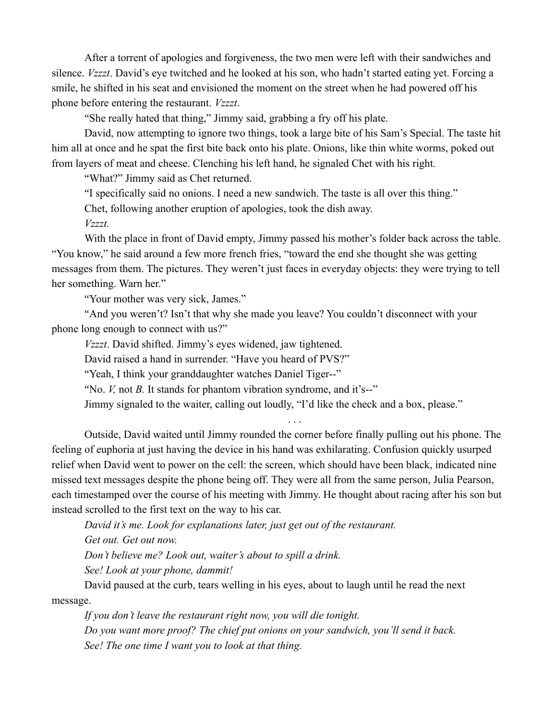After a torrent of apologies and forgiveness, the two men were left with their sandwiches and silence. *Vzzzt*. David's eye twitched and he looked at his son, who hadn't started eating yet. Forcing a smile, he shifted in his seat and envisioned the moment on the street when he had powered off his phone before entering the restaurant. *Vzzzt*.

"She really hated that thing," Jimmy said, grabbing a fry off his plate.

David, now attempting to ignore two things, took a large bite of his Sam's Special. The taste hit him all at once and he spat the first bite back onto his plate. Onions, like thin white worms, poked out from layers of meat and cheese. Clenching his left hand, he signaled Chet with his right.

"What?" Jimmy said as Chet returned.

"I specifically said no onions. I need a new sandwich. The taste is all over this thing."

Chet, following another eruption of apologies, took the dish away.

*Vzzzt.*

With the place in front of David empty, Jimmy passed his mother's folder back across the table. "You know," he said around a few more french fries, "toward the end she thought she was getting messages from them. The pictures. They weren't just faces in everyday objects: they were trying to tell her something. Warn her."

"Your mother was very sick, James."

"And you weren't? Isn't that why she made you leave? You couldn't disconnect with your phone long enough to connect with us?"

*Vzzzt*. David shifted. Jimmy's eyes widened, jaw tightened.

David raised a hand in surrender. "Have you heard of PVS?"

"Yeah, I think your granddaughter watches Daniel Tiger--"

"No. *V*, not *B*. It stands for phantom vibration syndrome, and it's--"

Jimmy signaled to the waiter, calling out loudly, "I'd like the check and a box, please."

. . .

Outside, David waited until Jimmy rounded the corner before finally pulling out his phone. The feeling of euphoria at just having the device in his hand was exhilarating. Confusion quickly usurped relief when David went to power on the cell: the screen, which should have been black, indicated nine missed text messages despite the phone being off. They were all from the same person, Julia Pearson, each timestamped over the course of his meeting with Jimmy. He thought about racing after his son but instead scrolled to the first text on the way to his car.

*David it's me. Look for explanations later, just get out of the restaurant.* 

*Get out. Get out now.*

*Don't believe me? Look out, waiter's about to spill a drink.* 

*See! Look at your phone, dammit!* 

David paused at the curb, tears welling in his eyes, about to laugh until he read the next message.

*If you don't leave the restaurant right now, you will die tonight. Do you want more proof? The chief put onions on your sandwich, you'll send it back. See! The one time I want you to look at that thing.*